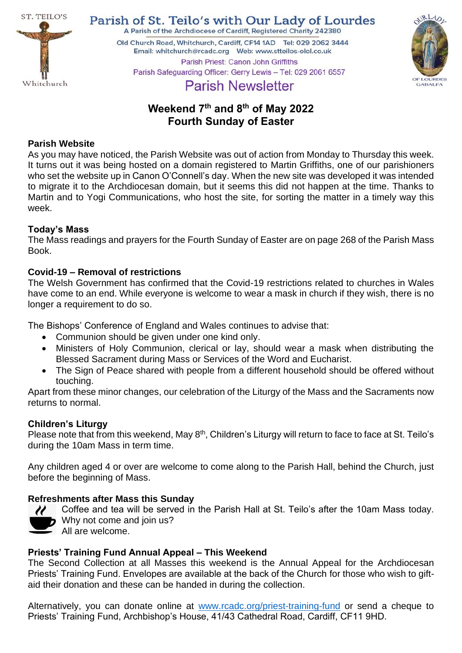

Parish of St. Teilo's with Our Lady of Lourdes A Parish of the Archdiocese of Cardiff, Registered Charity 242380

Old Church Road, Whitchurch, Cardiff, CF14 1AD Tel: 029 2062 3444 Parish Priest: Canon John Griffiths Parish Safeguarding Officer: Gerry Lewis - Tel: 029 2061 6557



# **Parish Newsletter**

# **Weekend 7 th and 8th of May 2022 Fourth Sunday of Easter**

# **Parish Website**

As you may have noticed, the Parish Website was out of action from Monday to Thursday this week. It turns out it was being hosted on a domain registered to Martin Griffiths, one of our parishioners who set the website up in Canon O'Connell's day. When the new site was developed it was intended to migrate it to the Archdiocesan domain, but it seems this did not happen at the time. Thanks to Martin and to Yogi Communications, who host the site, for sorting the matter in a timely way this week.

# **Today's Mass**

The Mass readings and prayers for the Fourth Sunday of Easter are on page 268 of the Parish Mass Book.

# **Covid-19 – Removal of restrictions**

The Welsh Government has confirmed that the Covid-19 restrictions related to churches in Wales have come to an end. While everyone is welcome to wear a mask in church if they wish, there is no longer a requirement to do so.

The Bishops' Conference of England and Wales continues to advise that:

- Communion should be given under one kind only.
- Ministers of Holy Communion, clerical or lay, should wear a mask when distributing the Blessed Sacrament during Mass or Services of the Word and Eucharist.
- The Sign of Peace shared with people from a different household should be offered without touching.

Apart from these minor changes, our celebration of the Liturgy of the Mass and the Sacraments now returns to normal.

#### **Children's Liturgy**

Please note that from this weekend, May 8<sup>th</sup>, Children's Liturgy will return to face to face at St. Teilo's during the 10am Mass in term time.

Any children aged 4 or over are welcome to come along to the Parish Hall, behind the Church, just before the beginning of Mass.

# **Refreshments after Mass this Sunday**



Coffee and tea will be served in the Parish Hall at St. Teilo's after the 10am Mass today. Why not come and join us?

All are welcome.

# **Priests' Training Fund Annual Appeal – This Weekend**

The Second Collection at all Masses this weekend is the Annual Appeal for the Archdiocesan Priests' Training Fund. Envelopes are available at the back of the Church for those who wish to giftaid their donation and these can be handed in during the collection.

Alternatively, you can donate online at [www.rcadc.org/priest-training-fund](http://www.rcadc.org/priest-training-fund) or send a cheque to Priests' Training Fund, Archbishop's House, 41/43 Cathedral Road, Cardiff, CF11 9HD.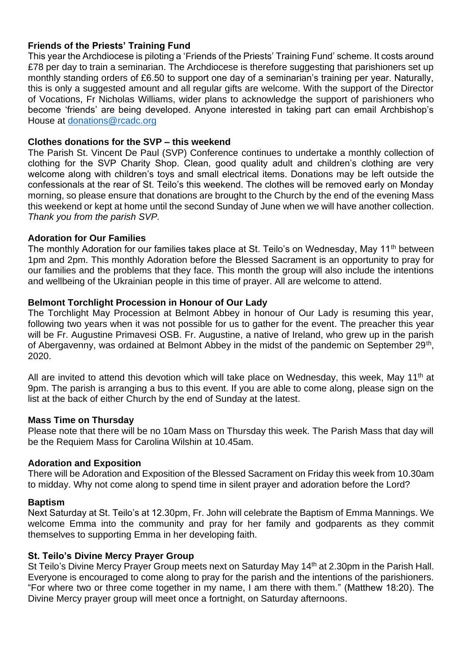# **Friends of the Priests' Training Fund**

This year the Archdiocese is piloting a 'Friends of the Priests' Training Fund' scheme. It costs around £78 per day to train a seminarian. The Archdiocese is therefore suggesting that parishioners set up monthly standing orders of £6.50 to support one day of a seminarian's training per year. Naturally, this is only a suggested amount and all regular gifts are welcome. With the support of the Director of Vocations, Fr Nicholas Williams, wider plans to acknowledge the support of parishioners who become 'friends' are being developed. Anyone interested in taking part can email Archbishop's House at [donations@rcadc.org](mailto:donations@rcadc.org)

#### **Clothes donations for the SVP – this weekend**

The Parish St. Vincent De Paul (SVP) Conference continues to undertake a monthly collection of clothing for the SVP Charity Shop. Clean, good quality adult and children's clothing are very welcome along with children's toys and small electrical items. Donations may be left outside the confessionals at the rear of St. Teilo's this weekend. The clothes will be removed early on Monday morning, so please ensure that donations are brought to the Church by the end of the evening Mass this weekend or kept at home until the second Sunday of June when we will have another collection. *Thank you from the parish SVP.*

#### **Adoration for Our Families**

The monthly Adoration for our families takes place at St. Teilo's on Wednesday, May 11<sup>th</sup> between 1pm and 2pm. This monthly Adoration before the Blessed Sacrament is an opportunity to pray for our families and the problems that they face. This month the group will also include the intentions and wellbeing of the Ukrainian people in this time of prayer. All are welcome to attend.

# **Belmont Torchlight Procession in Honour of Our Lady**

The Torchlight May Procession at Belmont Abbey in honour of Our Lady is resuming this year, following two years when it was not possible for us to gather for the event. The preacher this year will be Fr. Augustine Primavesi OSB. Fr. Augustine, a native of Ireland, who grew up in the parish of Abergavenny, was ordained at Belmont Abbey in the midst of the pandemic on September 29<sup>th</sup>, 2020.

All are invited to attend this devotion which will take place on Wednesday, this week, May 11<sup>th</sup> at 9pm. The parish is arranging a bus to this event. If you are able to come along, please sign on the list at the back of either Church by the end of Sunday at the latest.

#### **Mass Time on Thursday**

Please note that there will be no 10am Mass on Thursday this week. The Parish Mass that day will be the Requiem Mass for Carolina Wilshin at 10.45am.

#### **Adoration and Exposition**

There will be Adoration and Exposition of the Blessed Sacrament on Friday this week from 10.30am to midday. Why not come along to spend time in silent prayer and adoration before the Lord?

#### **Baptism**

Next Saturday at St. Teilo's at 12.30pm, Fr. John will celebrate the Baptism of Emma Mannings. We welcome Emma into the community and pray for her family and godparents as they commit themselves to supporting Emma in her developing faith.

#### **St. Teilo's Divine Mercy Prayer Group**

St Teilo's Divine Mercy Prayer Group meets next on Saturday May 14<sup>th</sup> at 2.30pm in the Parish Hall. Everyone is encouraged to come along to pray for the parish and the intentions of the parishioners. "For where two or three come together in my name, I am there with them." (Matthew 18:20). The Divine Mercy prayer group will meet once a fortnight, on Saturday afternoons.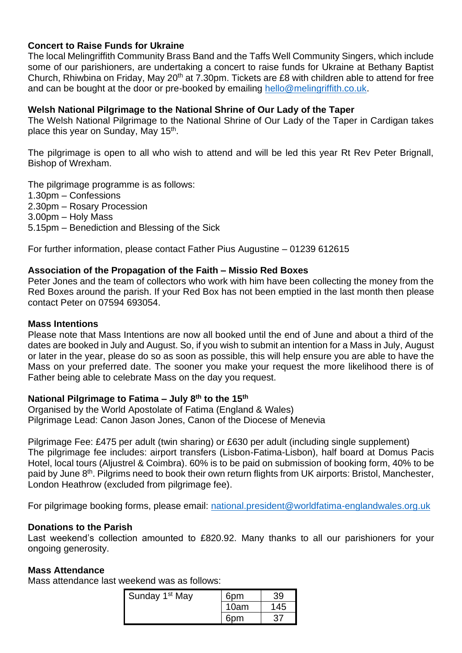# **Concert to Raise Funds for Ukraine**

The local Melingriffith Community Brass Band and the Taffs Well Community Singers, which include some of our parishioners, are undertaking a concert to raise funds for Ukraine at Bethany Baptist Church, Rhiwbina on Friday, May 20<sup>th</sup> at 7.30pm. Tickets are £8 with children able to attend for free and can be bought at the door or pre-booked by emailing [hello@melingriffith.co.uk.](mailto:hello@melingriffith.co.uk)

#### **Welsh National Pilgrimage to the National Shrine of Our Lady of the Taper**

The Welsh National Pilgrimage to the National Shrine of Our Lady of the Taper in Cardigan takes place this year on Sunday, May 15<sup>th</sup>.

The pilgrimage is open to all who wish to attend and will be led this year Rt Rev Peter Brignall, Bishop of Wrexham.

The pilgrimage programme is as follows:

- 1.30pm Confessions
- 2.30pm Rosary Procession

3.00pm – Holy Mass

5.15pm – Benediction and Blessing of the Sick

For further information, please contact Father Pius Augustine – 01239 612615

#### **Association of the Propagation of the Faith – Missio Red Boxes**

Peter Jones and the team of collectors who work with him have been collecting the money from the Red Boxes around the parish. If your Red Box has not been emptied in the last month then please contact Peter on 07594 693054.

#### **Mass Intentions**

Please note that Mass Intentions are now all booked until the end of June and about a third of the dates are booked in July and August. So, if you wish to submit an intention for a Mass in July, August or later in the year, please do so as soon as possible, this will help ensure you are able to have the Mass on your preferred date. The sooner you make your request the more likelihood there is of Father being able to celebrate Mass on the day you request.

#### **National Pilgrimage to Fatima – July 8th to the 15th**

Organised by the World Apostolate of Fatima (England & Wales) Pilgrimage Lead: Canon Jason Jones, Canon of the Diocese of Menevia

Pilgrimage Fee: £475 per adult (twin sharing) or £630 per adult (including single supplement) The pilgrimage fee includes: airport transfers (Lisbon-Fatima-Lisbon), half board at Domus Pacis Hotel, local tours (Aljustrel & Coimbra). 60% is to be paid on submission of booking form, 40% to be paid by June 8th. Pilgrims need to book their own return flights from UK airports: Bristol, Manchester, London Heathrow (excluded from pilgrimage fee).

For pilgrimage booking forms, please email: [national.president@worldfatima-englandwales.org.uk](mailto:national.president@worldfatima-englandwales.org.uk)

#### **Donations to the Parish**

Last weekend's collection amounted to £820.92. Many thanks to all our parishioners for your ongoing generosity.

#### **Mass Attendance**

Mass attendance last weekend was as follows:

| Sunday 1 <sup>st</sup> May | 6pm  | 39 |
|----------------------------|------|----|
|                            | 10am | 45 |
|                            | 6pm  |    |